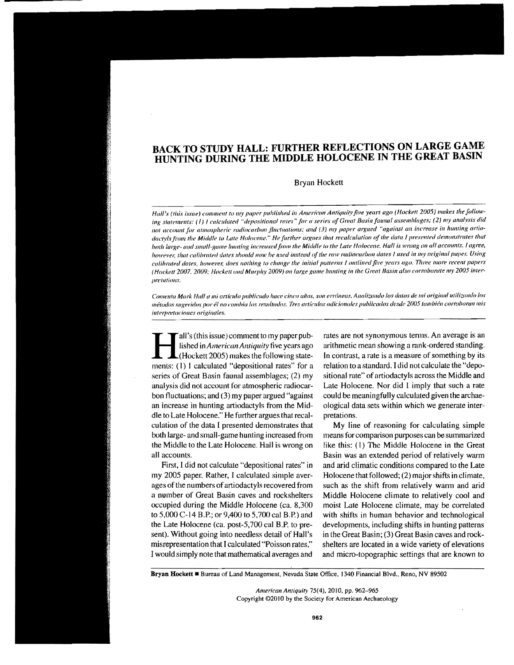# BACK TO STUDY HALL: FURTHER REFLECTIONS ON LARGE GAME HUNTING DURING THE MIDDLE HOLOCENE IN THE GREAT BASIN

### Bryan Hockett

Hall's (this issue) comment to my paper published in American Antiquity five years ago (Hockett 2005) makes the following statements: (1) I calculated "depositional rates" for a series of Great Basin faunal assemblages; (2) my analysis did not account for atmospheric radiocarbon fluctuations; and (3) my paper argued "against an increase in hunting artiodactyls from the Middle to Late Holocene." He further argues that recalculation of the data I presented demonstrates that both large- and small-game hunting increased from the Middle to the Late Holocene. Hall is wrong on all accounts. I agree, however, that calibrated dates should now be used instead of the raw radiocarbon dates I used in my original paper. Using calibrated dates, however, does nothing to change the initial patterns I outlined five years ago. Three more recent papers (Hockett 2007, 2009; Hockett and Murphy 2009) on large game hunting in the Great Basin also corroborate my 2005 interpretations.

Comenta Mark Hall a mi artículo publicado hace cinco años, son erróneas. Analizando los datos de mi original utilizando los inétodos sugeridos por él no cambia los resultados. Tres artículos adicionales publicados desde 2005 también corroboran inis interpretaciones originales.

"all's (this issue) comment to my paper published in American Antiquity five years ago  $L$ (Hockett 2005) makes the following statements: (1) I calculated "depositional rates" for a series of Great Basin faunal assemblages; (2) my analysis did not account for atmospheric radiocarbon fluctuations; and (3) my paper argued "against" an increase in hunting artiodactyls from the Middle to Late Holocene." He further argues that recalculation of the data I presented demonstrates that both large- and small-game hunting increased from the Middle to the Late Holocene. Hall is wrong on all accounts.

First, I did not calculate "depositional rates" in my 2005 paper. Rather, I calculated simple averages of the numbers of artiodactyls recovered from a number of Great Basin caves and rockshelters occupied during the Middle Holocene (ca. 8,300) to 5,000 C-14 B.P.; or 9,400 to 5,700 cal B.P.) and the Late Holocene (ca. post-5,700 cal B.P. to present). Without going into needless detail of Hall's misrepresentation that I calculated "Poisson rates," I would simply note that mathematical averages and

rates are not synonymous terms. An average is an arithmetic mean showing a rank-ordered standing. In contrast, a rate is a measure of something by its relation to a standard. I did not calculate the "depositional rate" of artiodactyls across the Middle and Late Holocene. Nor did I imply that such a rate could be meaningfully calculated given the archaeological data sets within which we generate interpretations.

My line of reasoning for calculating simple means for comparison purposes can be summarized like this: (1) The Middle Holocene in the Great Basin was an extended period of relatively warm and arid climatic conditions compared to the Late Holocene that followed; (2) major shifts in climate, such as the shift from relatively warm and arid Middle Holocene climate to relatively cool and moist Late Holocene climate, may be correlated with shifts in human behavior and technological developments, including shifts in hunting patterns in the Great Basin; (3) Great Basin caves and rockshelters are located in a wide variety of elevations and micro-topographic settings that are known to

Bryan Hockett = Bureau of Land Management, Nevada State Office, 1340 Financial Blvd., Reno, NV 89502

American Antiquity 75(4), 2010, pp. 962-965 Copyright ©2010 by the Society for American Archaeology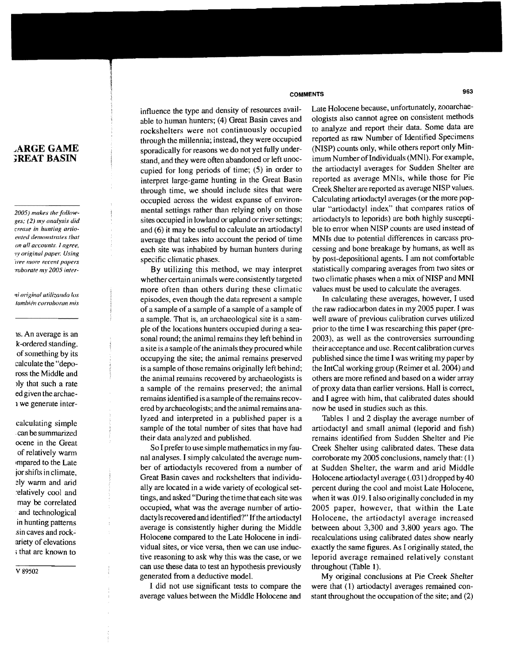# **ARGE GAME FREAT BASIN**

2005) makes the followges; (2) my analysis did crease in hunting artioented demonstrates that on all accounts. I agree, ay original paper. Using tree more recent papers roborate my 2005 inter-

### ni original utilizando los también corroboran mis

ns. An average is an k-ordered standing. of something by its calculate the "depoross the Middle and bly that such a rate ed given the archae*i* we generate inter-

calculating simple can be summarized ocene in the Great of relatively warm mpared to the Late jor shifts in climate, ely warm and arid relatively cool and may be correlated and technological in hunting patterns sin caves and rockariety of elevations ; that are known to

V 89502

influence the type and density of resources available to human hunters; (4) Great Basin caves and rockshelters were not continuously occupied through the millennia; instead, they were occupied sporadically for reasons we do not yet fully understand, and they were often abandoned or left unoccupied for long periods of time; (5) in order to interpret large-game hunting in the Great Basin through time, we should include sites that were occupied across the widest expanse of environmental settings rather than relying only on those sites occupied in lowland or upland or river settings; and (6) it may be useful to calculate an artiodactyl average that takes into account the period of time each site was inhabited by human hunters during specific climatic phases.

By utilizing this method, we may interpret whether certain animals were consistently targeted more often than others during these climatic episodes, even though the data represent a sample of a sample of a sample of a sample of a sample of a sample. That is, an archaeological site is a sample of the locations hunters occupied during a seasonal round; the animal remains they left behind in a site is a sample of the animals they procured while occupying the site; the animal remains preserved is a sample of those remains originally left behind; the animal remains recovered by archaeologists is a sample of the remains preserved; the animal remains identified is a sample of the remains recovered by archaeologists; and the animal remains analyzed and interpreted in a published paper is a sample of the total number of sites that have had their data analyzed and published.

So I prefer to use simple mathematics in my faunal analyses. I simply calculated the average number of artiodactyls recovered from a number of Great Basin caves and rockshelters that individually are located in a wide variety of ecological settings, and asked "During the time that each site was occupied, what was the average number of artiodactyls recovered and identified?" If the artiodactyl average is consistently higher during the Middle Holocene compared to the Late Holocene in individual sites, or vice versa, then we can use inductive reasoning to ask why this was the case, or we can use these data to test an hypothesis previously generated from a deductive model.

I did not use significant tests to compare the average values between the Middle Holocene and Late Holocene because, unfortunately, zooarchaeologists also cannot agree on consistent methods to analyze and report their data. Some data are reported as raw Number of Identified Specimens (NISP) counts only, while others report only Minimum Number of Individuals (MNI). For example, the artiodactyl averages for Sudden Shelter are reported as average MNIs, while those for Pie Creek Shelter are reported as average NISP values. Calculating artiodactyl averages (or the more popular "artiodactyl index" that compares ratios of artiodactyls to leporids) are both highly susceptible to error when NISP counts are used instead of MNIs due to potential differences in carcass processing and bone breakage by humans, as well as by post-depositional agents. I am not comfortable statistically comparing averages from two sites or two climatic phases when a mix of NISP and MNI values must be used to calculate the averages.

In calculating these averages, however, I used the raw radiocarbon dates in my 2005 paper. I was well aware of previous calibration curves utilized prior to the time I was researching this paper (pre-2003), as well as the controversies surrounding their acceptance and use. Recent calibration curves published since the time I was writing my paper by the IntCal working group (Reimer et al. 2004) and others are more refined and based on a wider array of proxy data than earlier versions. Hall is correct, and I agree with him, that calibrated dates should now be used in studies such as this.

Tables 1 and 2 display the average number of artiodactyl and small animal (leporid and fish) remains identified from Sudden Shelter and Pie Creek Shelter using calibrated dates. These data corroborate my 2005 conclusions, namely that: (1) at Sudden Shelter, the warm and arid Middle Holocene artiodactyl average (.031) dropped by 40 percent during the cool and moist Late Holocene, when it was .019. I also originally concluded in my 2005 paper, however, that within the Late Holocene, the artiodactyl average increased between about 3,300 and 3,800 years ago. The recalculations using calibrated dates show nearly exactly the same figures. As I originally stated, the leporid average remained relatively constant throughout (Table 1).

My original conclusions at Pie Creek Shelter were that (1) artiodactyl averages remained constant throughout the occupation of the site; and (2)

#### **COMMENTS**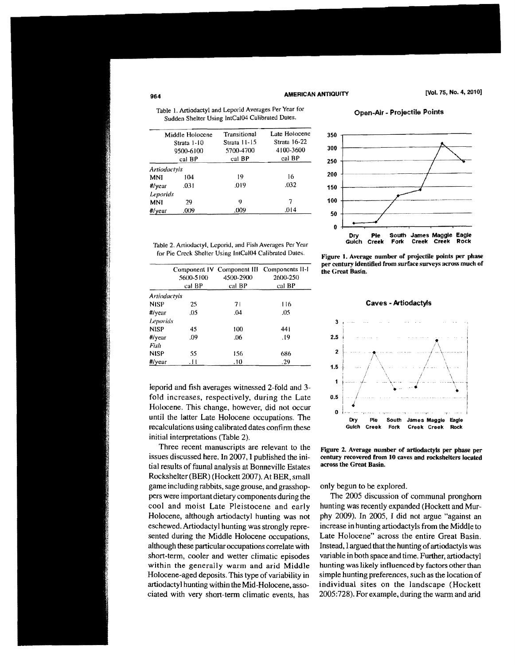# 964 **AMERICAN ANTIQUITY** [Vol. 75, No. 4, 2010]

Table 1. Artiodactyl and Leporid Averages Per Year for **Open-Air - Projectile Points** Sudden Shelter Using IntCal04 Calibrated Dates.

|                     | Middle Holocene<br>Strata 1-10 | Transitional<br>Strata 11-15<br>5700-4700<br>cal BP | Late Holocene<br>Strata 16-22<br>4100-3600<br>cal BP |
|---------------------|--------------------------------|-----------------------------------------------------|------------------------------------------------------|
|                     | 9500-6100                      |                                                     |                                                      |
|                     | cal BP                         |                                                     |                                                      |
| <b>Artiodactyls</b> |                                |                                                     |                                                      |
| MNI                 | 104                            | 19                                                  | 16                                                   |
| #/year              | .031                           | .019                                                | .032                                                 |
| Leporids            |                                |                                                     |                                                      |
| <b>MNI</b>          | 29                             | 9                                                   | 7                                                    |
| #/vear              | .009                           | .009                                                | .014                                                 |

Table 2. Artiodactyl, Leporid, and Fish Averages Per Year for Pie Creek Shelter Using IntCal04 Calibrated Dates.

|              | 5600-5100<br>cal BP | 4500-2900<br>cal BP | Component IV Component III Components II-I<br>2600-250<br>cal BP |
|--------------|---------------------|---------------------|------------------------------------------------------------------|
|              |                     |                     |                                                                  |
|              |                     |                     |                                                                  |
| Artiodactyls |                     |                     |                                                                  |
| <b>NISP</b>  | 25                  | 71                  | 116                                                              |
| #/year       | .05                 | -04                 | .05                                                              |
| Leporids     |                     |                     |                                                                  |
| <b>NISP</b>  | 45                  | 100                 | 44 l                                                             |
| #/year       | .09                 | -06                 | .19                                                              |
| Fish         |                     |                     |                                                                  |
| <b>NISP</b>  | 55                  | 156                 | 686                                                              |
| $\#$ /vear   | .11                 | .10                 | .29                                                              |

leporid and fish averages witnessed 2-fold and 3 fold increases, respectively. during the Late Holocene. This change, however, did not occur until the latter Late Holocene occupations. The recalculations using calibrated dates confirm these initial interpretations (Table 2).

Three recent manuscripts are relevant to the issues discussed here. In 2007, I published the initial results of faunal analysis at Bonneville Estates Rockshelter (BER) (Hockett 2007). At BER, small game including rabbits. sage grouse, and grasshoppers were important dietary components during the cool and moist Late Pleistocene and early Holocene, although artiodactyl hunting was not eschewed. Artiodactyl hunting was strongly represented during the Middle Holocene occupations, although these particular occupations correlate with short-term, cooler and wetter climatic episodes within the generally warm and arid Middle Holocene-aged deposits. This type of variability in artiodactyl hunting within the Mid-Holocene, associated with very short-term climatic events, has





Figure 1. Average number of projectile points per phase per century identified from surface surveys across much of the Great Basin.

### Caves - Artiodactyls





only begun to be explored.

The 2005 discussion of communal pronghorn hunting was recently expanded (Hockett and Murphy 2009). In 2005, I did not argue "against an increase in hunting artiodactyls from the Middle to Late Holocene" across the entire Great Basin. Instead, I argued that the hunting of artiodactyls was variable in both space and time. Further, artiodactyl hunting was likely influenced by factors other than simple hunting preferences, such as the location of individual sites on the landscape (Hockett 2005:728). For example, during the warm and arid